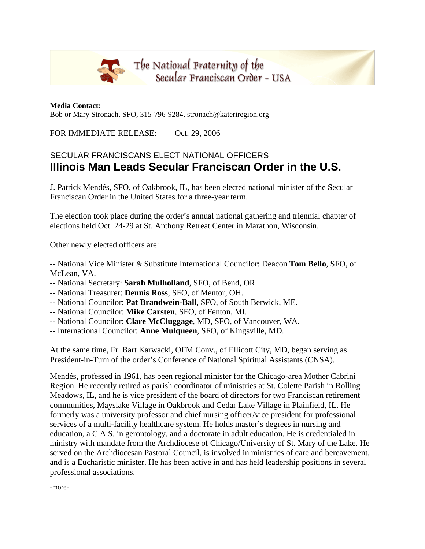

**Media Contact:**  Bob or Mary Stronach, SFO, 315-796-9284, stronach@kateriregion.org

FOR IMMEDIATE RELEASE: Oct. 29, 2006

## SECULAR FRANCISCANS ELECT NATIONAL OFFICERS **Illinois Man Leads Secular Franciscan Order in the U.S.**

J. Patrick Mendés, SFO, of Oakbrook, IL, has been elected national minister of the Secular Franciscan Order in the United States for a three-year term.

The election took place during the order's annual national gathering and triennial chapter of elections held Oct. 24-29 at St. Anthony Retreat Center in Marathon, Wisconsin.

Other newly elected officers are:

-- National Vice Minister & Substitute International Councilor: Deacon **Tom Bello**, SFO, of McLean, VA.

- -- National Secretary: **Sarah Mulholland**, SFO, of Bend, OR.
- -- National Treasurer: **Dennis Ross**, SFO, of Mentor, OH.
- -- National Councilor: **Pat Brandwein-Ball**, SFO, of South Berwick, ME.
- -- National Councilor: **Mike Carsten**, SFO, of Fenton, MI.
- -- National Councilor: **Clare McCluggage**, MD, SFO, of Vancouver, WA.
- -- International Councilor: **Anne Mulqueen**, SFO, of Kingsville, MD.

At the same time, Fr. Bart Karwacki, OFM Conv., of Ellicott City, MD, began serving as President-in-Turn of the order's Conference of National Spiritual Assistants (CNSA).

Mendés, professed in 1961, has been regional minister for the Chicago-area Mother Cabrini Region. He recently retired as parish coordinator of ministries at St. Colette Parish in Rolling Meadows, IL, and he is vice president of the board of directors for two Franciscan retirement communities, Mayslake Village in Oakbrook and Cedar Lake Village in Plainfield, IL. He formerly was a university professor and chief nursing officer/vice president for professional services of a multi-facility healthcare system. He holds master's degrees in nursing and education, a C.A.S. in gerontology, and a doctorate in adult education. He is credentialed in ministry with mandate from the Archdiocese of Chicago/University of St. Mary of the Lake. He served on the Archdiocesan Pastoral Council, is involved in ministries of care and bereavement, and is a Eucharistic minister. He has been active in and has held leadership positions in several professional associations.

-more-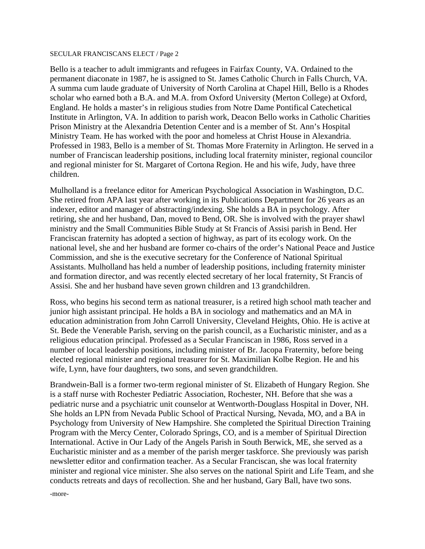## SECULAR FRANCISCANS ELECT / Page 2

Bello is a teacher to adult immigrants and refugees in Fairfax County, VA. Ordained to the permanent diaconate in 1987, he is assigned to St. James Catholic Church in Falls Church, VA. A summa cum laude graduate of University of North Carolina at Chapel Hill, Bello is a Rhodes scholar who earned both a B.A. and M.A. from Oxford University (Merton College) at Oxford, England. He holds a master's in religious studies from Notre Dame Pontifical Catechetical Institute in Arlington, VA. In addition to parish work, Deacon Bello works in Catholic Charities Prison Ministry at the Alexandria Detention Center and is a member of St. Ann's Hospital Ministry Team. He has worked with the poor and homeless at Christ House in Alexandria. Professed in 1983, Bello is a member of St. Thomas More Fraternity in Arlington. He served in a number of Franciscan leadership positions, including local fraternity minister, regional councilor and regional minister for St. Margaret of Cortona Region. He and his wife, Judy, have three children.

Mulholland is a freelance editor for American Psychological Association in Washington, D.C. She retired from APA last year after working in its Publications Department for 26 years as an indexer, editor and manager of abstracting/indexing. She holds a BA in psychology. After retiring, she and her husband, Dan, moved to Bend, OR. She is involved with the prayer shawl ministry and the Small Communities Bible Study at St Francis of Assisi parish in Bend. Her Franciscan fraternity has adopted a section of highway, as part of its ecology work. On the national level, she and her husband are former co-chairs of the order's National Peace and Justice Commission, and she is the executive secretary for the Conference of National Spiritual Assistants. Mulholland has held a number of leadership positions, including fraternity minister and formation director, and was recently elected secretary of her local fraternity, St Francis of Assisi. She and her husband have seven grown children and 13 grandchildren.

Ross, who begins his second term as national treasurer, is a retired high school math teacher and junior high assistant principal. He holds a BA in sociology and mathematics and an MA in education administration from John Carroll University, Cleveland Heights, Ohio. He is active at St. Bede the Venerable Parish, serving on the parish council, as a Eucharistic minister, and as a religious education principal. Professed as a Secular Franciscan in 1986, Ross served in a number of local leadership positions, including minister of Br. Jacopa Fraternity, before being elected regional minister and regional treasurer for St. Maximilian Kolbe Region. He and his wife, Lynn, have four daughters, two sons, and seven grandchildren.

Brandwein-Ball is a former two-term regional minister of St. Elizabeth of Hungary Region. She is a staff nurse with Rochester Pediatric Association, Rochester, NH. Before that she was a pediatric nurse and a psychiatric unit counselor at Wentworth-Douglass Hospital in Dover, NH. She holds an LPN from Nevada Public School of Practical Nursing, Nevada, MO, and a BA in Psychology from University of New Hampshire. She completed the Spiritual Direction Training Program with the Mercy Center, Colorado Springs, CO, and is a member of Spiritual Direction International. Active in Our Lady of the Angels Parish in South Berwick, ME, she served as a Eucharistic minister and as a member of the parish merger taskforce. She previously was parish newsletter editor and confirmation teacher. As a Secular Franciscan, she was local fraternity minister and regional vice minister. She also serves on the national Spirit and Life Team, and she conducts retreats and days of recollection. She and her husband, Gary Ball, have two sons.

-more-